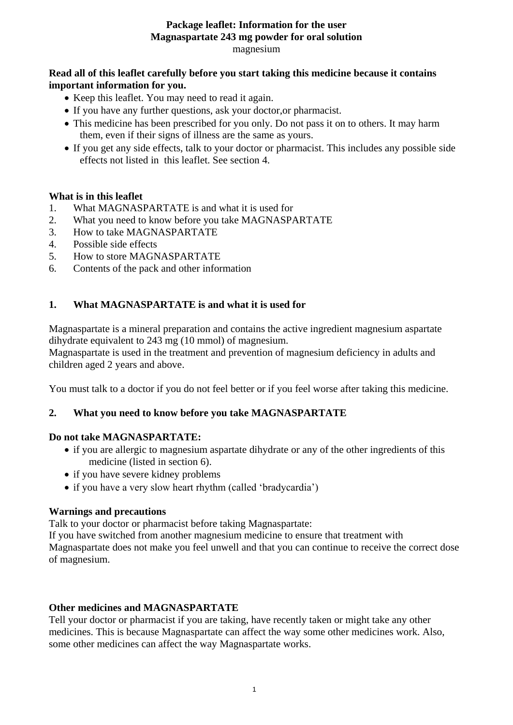#### **Package leaflet: Information for the user Magnaspartate 243 mg powder for oral solution** magnesium

### **Read all of this leaflet carefully before you start taking this medicine because it contains important information for you.**

- Keep this leaflet. You may need to read it again.
- If you have any further questions, ask your doctor, or pharmacist.
- This medicine has been prescribed for you only. Do not pass it on to others. It may harm them, even if their signs of illness are the same as yours.
- If you get any side effects, talk to your doctor or pharmacist. This includes any possible side effects not listed in this leaflet. See section 4.

### **What is in this leaflet**

- 1. What MAGNASPARTATE is and what it is used for
- 2. What you need to know before you take MAGNASPARTATE
- 3. How to take MAGNASPARTATE
- 4. Possible side effects
- 5. How to store MAGNASPARTATE
- 6. Contents of the pack and other information

### **1. What MAGNASPARTATE is and what it is used for**

Magnaspartate is a mineral preparation and contains the active ingredient magnesium aspartate dihydrate equivalent to 243 mg (10 mmol) of magnesium.

Magnaspartate is used in the treatment and prevention of magnesium deficiency in adults and children aged 2 years and above.

You must talk to a doctor if you do not feel better or if you feel worse after taking this medicine.

#### **2. What you need to know before you take MAGNASPARTATE**

#### **Do not take MAGNASPARTATE:**

- if you are allergic to magnesium aspartate dihydrate or any of the other ingredients of this medicine (listed in section 6).
- if you have severe kidney problems
- if you have a very slow heart rhythm (called 'bradycardia')

#### **Warnings and precautions**

Talk to your doctor or pharmacist before taking Magnaspartate:

If you have switched from another magnesium medicine to ensure that treatment with Magnaspartate does not make you feel unwell and that you can continue to receive the correct dose of magnesium.

#### **Other medicines and MAGNASPARTATE**

Tell your doctor or pharmacist if you are taking, have recently taken or might take any other medicines. This is because Magnaspartate can affect the way some other medicines work. Also, some other medicines can affect the way Magnaspartate works.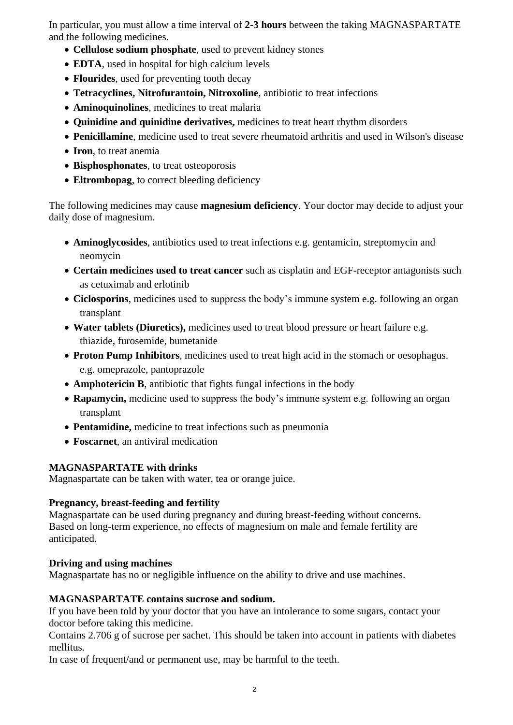In particular, you must allow a time interval of **2-3 hours** between the taking MAGNASPARTATE and the following medicines.

- **Cellulose sodium phosphate**, used to prevent kidney stones
- **EDTA**, used in hospital for high calcium levels
- **Flourides**, used for preventing tooth decay
- **Tetracyclines, Nitrofurantoin, Nitroxoline**, antibiotic to treat infections
- **Aminoquinolines**, medicines to treat malaria
- **Quinidine and quinidine derivatives,** medicines to treat heart rhythm disorders
- **Penicillamine**, medicine used to treat severe rheumatoid arthritis and used in Wilson's disease
- **Iron**, to treat anemia
- Bisphosphonates, to treat osteoporosis
- **Eltrombopag**, to correct bleeding deficiency

The following medicines may cause **magnesium deficiency**. Your doctor may decide to adjust your daily dose of magnesium.

- **Aminoglycosides**, antibiotics used to treat infections e.g. gentamicin, streptomycin and neomycin
- **Certain medicines used to treat cancer** such as cisplatin and EGF-receptor antagonists such as cetuximab and erlotinib
- **Ciclosporins**, medicines used to suppress the body's immune system e.g. following an organ transplant
- **Water tablets (Diuretics),** medicines used to treat blood pressure or heart failure e.g. thiazide, furosemide, [bumetanide](http://en.wikipedia.org/wiki/Bumetanide)
- **Proton Pump Inhibitors**, medicines used to treat high acid in the stomach or oesophagus. e.g. omeprazole, pantoprazole
- **Amphotericin B**, antibiotic that fights fungal infections in the body
- **Rapamycin,** medicine used to suppress the body's immune system e.g. following an organ transplant
- **Pentamidine,** medicine to treat infections such as pneumonia
- **Foscarnet**, an antiviral medication

## **MAGNASPARTATE with drinks**

Magnaspartate can be taken with water, tea or orange juice.

## **Pregnancy, breast-feeding and fertility**

Magnaspartate can be used during pregnancy and during breast-feeding without concerns. Based on long-term experience, no effects of magnesium on male and female fertility are anticipated.

## **Driving and using machines**

Magnaspartate has no or negligible influence on the ability to drive and use machines.

## **MAGNASPARTATE contains sucrose and sodium.**

If you have been told by your doctor that you have an intolerance to some sugars, contact your doctor before taking this medicine.

Contains 2.706 g of sucrose per sachet. This should be taken into account in patients with diabetes mellitus.

In case of frequent/and or permanent use, may be harmful to the teeth.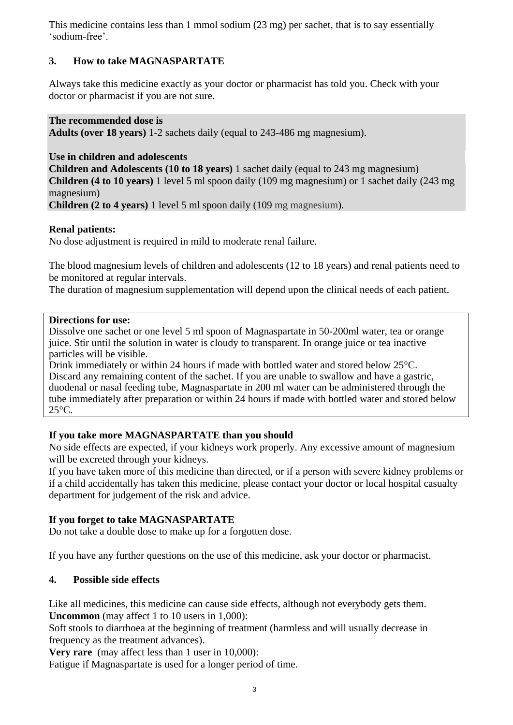This medicine contains less than 1 mmol sodium (23 mg) per sachet, that is to say essentially 'sodium-free'.

# **3. How to take MAGNASPARTATE**

Always take this medicine exactly as your doctor or pharmacist has told you. Check with your doctor or pharmacist if you are not sure.

### **The recommended dose is**

**Adults (over 18 years)** 1-2 sachets daily (equal to 243-486 mg magnesium).

## **Use in children and adolescents**

**Children and Adolescents (10 to 18 years)** 1 sachet daily (equal to 243 mg magnesium) **Children (4 to 10 years)** 1 level 5 ml spoon daily (109 mg magnesium) or 1 sachet daily (243 mg magnesium)

**Children (2 to 4 years)** 1 level 5 ml spoon daily (109 mg magnesium).

### **Renal patients:**

No dose adjustment is required in mild to moderate renal failure.

The blood magnesium levels of children and adolescents (12 to 18 years) and renal patients need to be monitored at regular intervals.

The duration of magnesium supplementation will depend upon the clinical needs of each patient.

#### **Directions for use:**

Dissolve one sachet or one level 5 ml spoon of Magnaspartate in 50-200ml water, tea or orange juice. Stir until the solution in water is cloudy to transparent. In orange juice or tea inactive particles will be visible.

Drink immediately or within 24 hours if made with bottled water and stored below 25°C. Discard any remaining content of the sachet. If you are unable to swallow and have a gastric, duodenal or nasal feeding tube, Magnaspartate in 200 ml water can be administered through the tube immediately after preparation or within 24 hours if made with bottled water and stored below 25°C.

## **If you take more MAGNASPARTATE than you should**

No side effects are expected, if your kidneys work properly. Any excessive amount of magnesium will be excreted through your kidneys.

If you have taken more of this medicine than directed, or if a person with severe kidney problems or if a child accidentally has taken this medicine, please contact your doctor or local hospital casualty department for judgement of the risk and advice.

## **If you forget to take MAGNASPARTATE**

Do not take a double dose to make up for a forgotten dose.

If you have any further questions on the use of this medicine, ask your doctor or pharmacist.

## **4. Possible side effects**

Like all medicines, this medicine can cause side effects, although not everybody gets them. **Uncommon** (may affect 1 to 10 users in 1,000):

Soft stools to diarrhoea at the beginning of treatment (harmless and will usually decrease in frequency as the treatment advances).

**Very rare** (may affect less than 1 user in 10,000):

Fatigue if Magnaspartate is used for a longer period of time.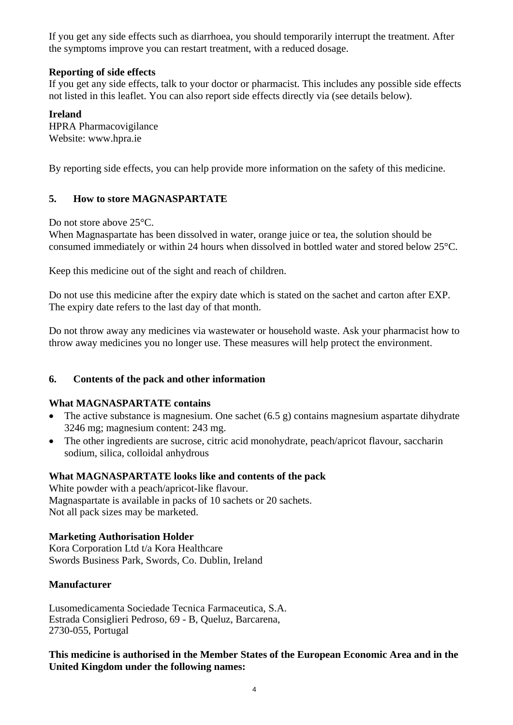If you get any side effects such as diarrhoea, you should temporarily interrupt the treatment. After the symptoms improve you can restart treatment, with a reduced dosage.

## **Reporting of side effects**

If you get any side effects, talk to your doctor or pharmacist. This includes any possible side effects not listed in this leaflet. You can also report side effects directly via (see details below).

## **Ireland**

HPRA Pharmacovigilance Website: [www.hpra.ie](http://www.hpra.ie/)

By reporting side effects, you can help provide more information on the safety of this medicine.

# **5. How to store MAGNASPARTATE**

Do not store above 25°C.

When Magnaspartate has been dissolved in water, orange juice or tea, the solution should be consumed immediately or within 24 hours when dissolved in bottled water and stored below 25°C.

Keep this medicine out of the sight and reach of children.

Do not use this medicine after the expiry date which is stated on the sachet and carton after EXP. The expiry date refers to the last day of that month.

Do not throw away any medicines via wastewater or household waste. Ask your pharmacist how to throw away medicines you no longer use. These measures will help protect the environment.

# **6. Contents of the pack and other information**

## **What MAGNASPARTATE contains**

- The active substance is magnesium. One sachet (6.5 g) contains magnesium aspartate dihydrate 3246 mg; magnesium content: 243 mg.
- The other ingredients are sucrose, citric acid monohydrate, peach/apricot flavour, saccharin sodium, silica, colloidal anhydrous

## **What MAGNASPARTATE looks like and contents of the pack**

White powder with a peach/apricot-like flavour. Magnaspartate is available in packs of 10 sachets or 20 sachets. Not all pack sizes may be marketed.

# **Marketing Authorisation Holder**

Kora Corporation Ltd t/a Kora Healthcare Swords Business Park, Swords, Co. Dublin, Ireland

# **Manufacturer**

Lusomedicamenta Sociedade Tecnica Farmaceutica, S.A. Estrada Consiglieri Pedroso, 69 - B, Queluz, Barcarena, 2730-055, Portugal

**This medicine is authorised in the Member States of the European Economic Area and in the United Kingdom under the following names:**